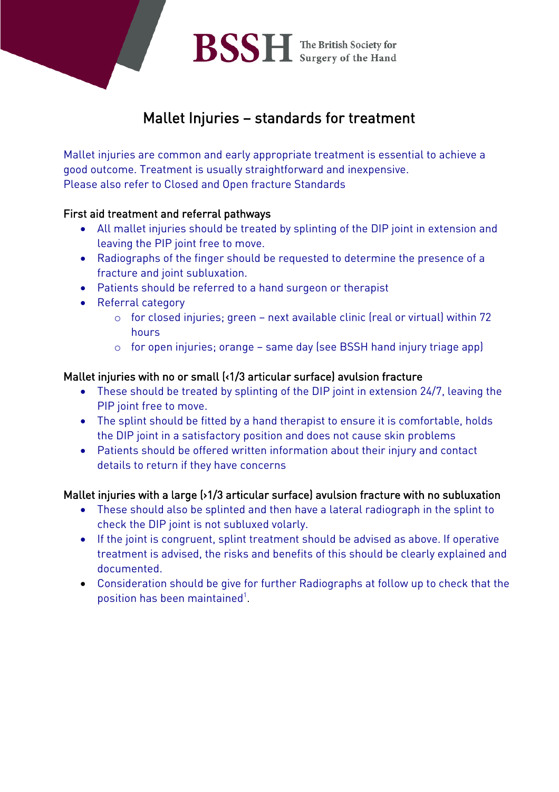

# Mallet Injuries – standards for treatment

Mallet injuries are common and early appropriate treatment is essential to achieve a good outcome. Treatment is usually straightforward and inexpensive. Please also refer to Closed and Open fracture Standards

#### First aid treatment and referral pathways

- All mallet injuries should be treated by splinting of the DIP joint in extension and leaving the PIP joint free to move.
- Radiographs of the finger should be requested to determine the presence of a fracture and joint subluxation.
- Patients should be referred to a hand surgeon or therapist
- Referral category
	- o for closed injuries; green next available clinic (real or virtual) within 72 hours
	- o for open injuries; orange same day (see BSSH hand injury triage app)

#### Mallet injuries with no or small (<1/3 articular surface) avulsion fracture

- These should be treated by splinting of the DIP joint in extension 24/7, leaving the PIP joint free to move.
- The splint should be fitted by a hand therapist to ensure it is comfortable, holds the DIP joint in a satisfactory position and does not cause skin problems
- Patients should be offered written information about their injury and contact details to return if they have concerns

#### Mallet injuries with a large (>1/3 articular surface) avulsion fracture with no subluxation

- These should also be splinted and then have a lateral radiograph in the splint to check the DIP joint is not subluxed volarly.
- If the joint is congruent, splint treatment should be advised as above. If operative treatment is advised, the risks and benefits of this should be clearly explained and documented.
- Consideration should be give for further Radiographs at follow up to check that the position has been maintained<sup>1</sup>.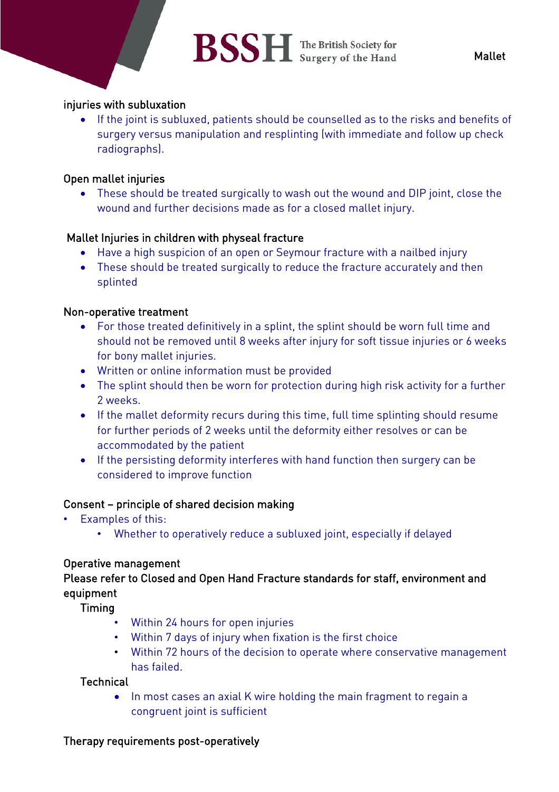# BSSH The British Society for

#### injuries with subluxation

• If the joint is subluxed, patients should be counselled as to the risks and benefits of surgery versus manipulation and resplinting (with immediate and follow up check radiographs).

#### Open mallet injuries

• These should be treated surgically to wash out the wound and DIP joint, close the wound and further decisions made as for a closed mallet injury.

## Mallet Injuries in children with physeal fracture

- Have a high suspicion of an open or Seymour fracture with a nailbed injury
- These should be treated surgically to reduce the fracture accurately and then splinted

#### Non-operative treatment

- For those treated definitively in a splint, the splint should be worn full time and should not be removed until 8 weeks after injury for soft tissue injuries or 6 weeks for bony mallet injuries.
- Written or online information must be provided
- The splint should then be worn for protection during high risk activity for a further 2 weeks.
- If the mallet deformity recurs during this time, full time splinting should resume for further periods of 2 weeks until the deformity either resolves or can be accommodated by the patient
- If the persisting deformity interferes with hand function then surgery can be considered to improve function

#### Consent – principle of shared decision making

- Examples of this:
	- Whether to operatively reduce a subluxed joint, especially if delayed

#### Operative management

## Please refer to Closed and Open Hand Fracture standards for staff, environment and equipment

Timing

- Within 24 hours for open injuries
- Within 7 days of injury when fixation is the first choice
- Within 72 hours of the decision to operate where conservative management has failed.

#### **Technical**

• In most cases an axial K wire holding the main fragment to regain a congruent joint is sufficient

## Therapy requirements post-operatively